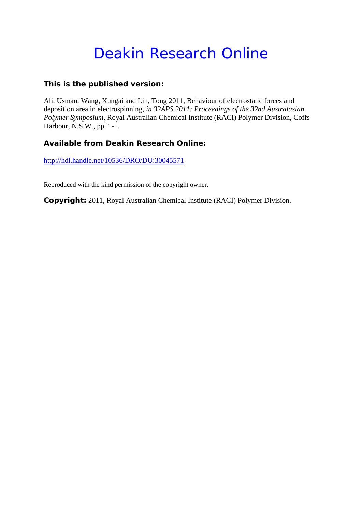## Deakin Research Online

## **This is the published version:**

Ali, Usman, Wang, Xungai and Lin, Tong 2011, Behaviour of electrostatic forces and deposition area in electrospinning*, in 32APS 2011: Proceedings of the 32nd Australasian Polymer Symposium*, Royal Australian Chemical Institute (RACI) Polymer Division, Coffs Harbour, N.S.W., pp. 1-1.

## **Available from Deakin Research Online:**

http://hdl.handle.net/10536/DRO/DU:30045571

Reproduced with the kind permission of the copyright owner.

**Copyright:** 2011, Royal Australian Chemical Institute (RACI) Polymer Division.